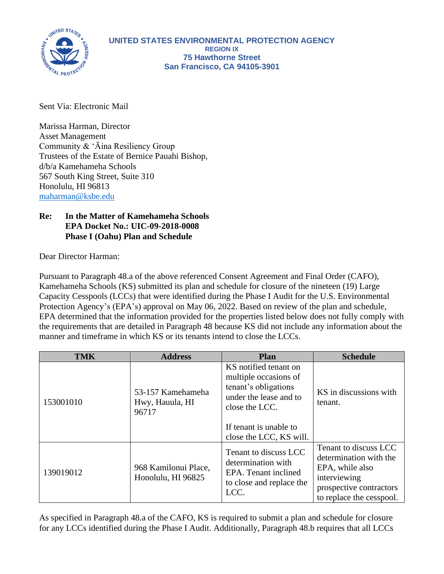

Sent Via: Electronic Mail

Marissa Harman, Director Asset Management Community & 'Āina Resiliency Group Trustees of the Estate of Bernice Pauahi Bishop, d/b/a Kamehameha Schools 567 South King Street, Suite 310 Honolulu, HI 96813 [maharman@ksbe.edu](mailto:maharman@ksbe.edu)

## **Re: In the Matter of Kamehameha Schools EPA Docket No.: UIC-09-2018-0008 Phase I (Oahu) Plan and Schedule**

Dear Director Harman:

Pursuant to Paragraph 48.a of the above referenced Consent Agreement and Final Order (CAFO), Kamehameha Schools (KS) submitted its plan and schedule for closure of the nineteen (19) Large Capacity Cesspools (LCCs) that were identified during the Phase I Audit for the U.S. Environmental Protection Agency's (EPA's) approval on May 06, 2022. Based on review of the plan and schedule, EPA determined that the information provided for the properties listed below does not fully comply with the requirements that are detailed in Paragraph 48 because KS did not include any information about the manner and timeframe in which KS or its tenants intend to close the LCCs.

| <b>TMK</b> | <b>Address</b>                                | <b>Plan</b>                                                                                                        | <b>Schedule</b>                                                                                                                           |
|------------|-----------------------------------------------|--------------------------------------------------------------------------------------------------------------------|-------------------------------------------------------------------------------------------------------------------------------------------|
| 153001010  | 53-157 Kamehameha<br>Hwy, Hauula, HI<br>96717 | KS notified tenant on<br>multiple occasions of<br>tenant's obligations<br>under the lease and to<br>close the LCC. | KS in discussions with<br>tenant.                                                                                                         |
|            |                                               | If tenant is unable to<br>close the LCC, KS will.                                                                  |                                                                                                                                           |
| 139019012  | 968 Kamilonui Place,<br>Honolulu, HI 96825    | Tenant to discuss LCC<br>determination with<br>EPA. Tenant inclined<br>to close and replace the<br>LCC.            | Tenant to discuss LCC<br>determination with the<br>EPA, while also<br>interviewing<br>prospective contractors<br>to replace the cesspool. |

As specified in Paragraph 48.a of the CAFO, KS is required to submit a plan and schedule for closure for any LCCs identified during the Phase I Audit. Additionally, Paragraph 48.b requires that all LCCs